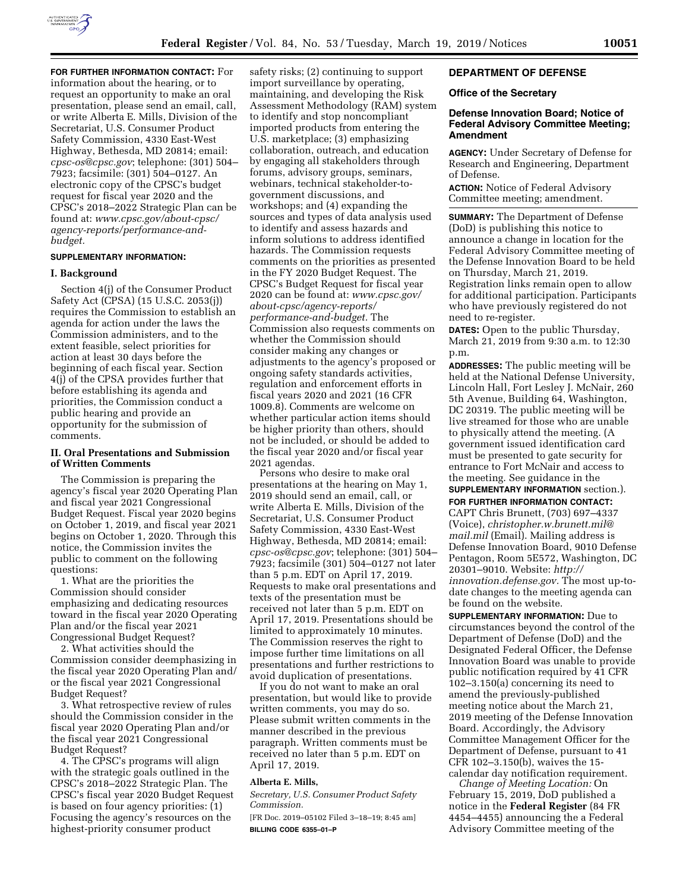

**FOR FURTHER INFORMATION CONTACT:** For information about the hearing, or to request an opportunity to make an oral presentation, please send an email, call, or write Alberta E. Mills, Division of the Secretariat, U.S. Consumer Product Safety Commission, 4330 East-West Highway, Bethesda, MD 20814; email: *[cpsc-os@cpsc.gov](mailto:cpsc-os@cpsc.gov)*; telephone: (301) 504– 7923; facsimile: (301) 504–0127. An electronic copy of the CPSC's budget request for fiscal year 2020 and the CPSC's 2018–2022 Strategic Plan can be found at: *[www.cpsc.gov/about-cpsc/](http://www.cpsc.gov/about-cpsc/agency-reports/performance-and-budget)  [agency-reports/performance-and](http://www.cpsc.gov/about-cpsc/agency-reports/performance-and-budget)[budget.](http://www.cpsc.gov/about-cpsc/agency-reports/performance-and-budget)* 

## **SUPPLEMENTARY INFORMATION:**

### **I. Background**

Section 4(j) of the Consumer Product Safety Act (CPSA) (15 U.S.C. 2053(j)) requires the Commission to establish an agenda for action under the laws the Commission administers, and to the extent feasible, select priorities for action at least 30 days before the beginning of each fiscal year. Section 4(j) of the CPSA provides further that before establishing its agenda and priorities, the Commission conduct a public hearing and provide an opportunity for the submission of comments.

## **II. Oral Presentations and Submission of Written Comments**

The Commission is preparing the agency's fiscal year 2020 Operating Plan and fiscal year 2021 Congressional Budget Request. Fiscal year 2020 begins on October 1, 2019, and fiscal year 2021 begins on October 1, 2020. Through this notice, the Commission invites the public to comment on the following questions:

1. What are the priorities the Commission should consider emphasizing and dedicating resources toward in the fiscal year 2020 Operating Plan and/or the fiscal year 2021 Congressional Budget Request?

2. What activities should the Commission consider deemphasizing in the fiscal year 2020 Operating Plan and/ or the fiscal year 2021 Congressional Budget Request?

3. What retrospective review of rules should the Commission consider in the fiscal year 2020 Operating Plan and/or the fiscal year 2021 Congressional Budget Request?

4. The CPSC's programs will align with the strategic goals outlined in the CPSC's 2018–2022 Strategic Plan. The CPSC's fiscal year 2020 Budget Request is based on four agency priorities: (1) Focusing the agency's resources on the highest-priority consumer product

safety risks; (2) continuing to support import surveillance by operating, maintaining, and developing the Risk Assessment Methodology (RAM) system to identify and stop noncompliant imported products from entering the U.S. marketplace; (3) emphasizing collaboration, outreach, and education by engaging all stakeholders through forums, advisory groups, seminars, webinars, technical stakeholder-togovernment discussions, and workshops; and (4) expanding the sources and types of data analysis used to identify and assess hazards and inform solutions to address identified hazards. The Commission requests comments on the priorities as presented in the FY 2020 Budget Request. The CPSC's Budget Request for fiscal year 2020 can be found at: *[www.cpsc.gov/](http://www.cpsc.gov/about-cpsc/agency-reports/performance-and-budget) [about-cpsc/agency-reports/](http://www.cpsc.gov/about-cpsc/agency-reports/performance-and-budget)  [performance-and-budget.](http://www.cpsc.gov/about-cpsc/agency-reports/performance-and-budget)* The Commission also requests comments on whether the Commission should consider making any changes or adjustments to the agency's proposed or ongoing safety standards activities, regulation and enforcement efforts in fiscal years 2020 and 2021 (16 CFR 1009.8). Comments are welcome on whether particular action items should be higher priority than others, should not be included, or should be added to the fiscal year 2020 and/or fiscal year 2021 agendas.

Persons who desire to make oral presentations at the hearing on May 1, 2019 should send an email, call, or write Alberta E. Mills, Division of the Secretariat, U.S. Consumer Product Safety Commission, 4330 East-West Highway, Bethesda, MD 20814; email: *[cpsc-os@cpsc.gov](mailto:cpsc-os@cpsc.gov)*; telephone: (301) 504– 7923; facsimile (301) 504–0127 not later than 5 p.m. EDT on April 17, 2019. Requests to make oral presentations and texts of the presentation must be received not later than 5 p.m. EDT on April 17, 2019. Presentations should be limited to approximately 10 minutes. The Commission reserves the right to impose further time limitations on all presentations and further restrictions to avoid duplication of presentations.

If you do not want to make an oral presentation, but would like to provide written comments, you may do so. Please submit written comments in the manner described in the previous paragraph. Written comments must be received no later than 5 p.m. EDT on April 17, 2019.

#### **Alberta E. Mills,**

*Secretary, U.S. Consumer Product Safety Commission.* 

[FR Doc. 2019–05102 Filed 3–18–19; 8:45 am] **BILLING CODE 6355–01–P** 

# **DEPARTMENT OF DEFENSE**

#### **Office of the Secretary**

# **Defense Innovation Board; Notice of Federal Advisory Committee Meeting; Amendment**

**AGENCY:** Under Secretary of Defense for Research and Engineering, Department of Defense.

**ACTION:** Notice of Federal Advisory Committee meeting; amendment.

**SUMMARY:** The Department of Defense (DoD) is publishing this notice to announce a change in location for the Federal Advisory Committee meeting of the Defense Innovation Board to be held on Thursday, March 21, 2019. Registration links remain open to allow for additional participation. Participants who have previously registered do not need to re-register.

**DATES:** Open to the public Thursday, March 21, 2019 from 9:30 a.m. to 12:30 p.m.

**ADDRESSES:** The public meeting will be held at the National Defense University, Lincoln Hall, Fort Lesley J. McNair, 260 5th Avenue, Building 64, Washington, DC 20319. The public meeting will be live streamed for those who are unable to physically attend the meeting. (A government issued identification card must be presented to gate security for entrance to Fort McNair and access to the meeting. See guidance in the **SUPPLEMENTARY INFORMATION** section.).

**FOR FURTHER INFORMATION CONTACT:** 

CAPT Chris Brunett, (703) 697–4337 (Voice), *[christopher.w.brunett.mil@](mailto:christopher.w.brunett.mil@mail.mil) [mail.mil](mailto:christopher.w.brunett.mil@mail.mil)* (Email). Mailing address is Defense Innovation Board, 9010 Defense Pentagon, Room 5E572, Washington, DC 20301–9010. Website: *[http://](http://innovation.defense.gov) [innovation.defense.gov.](http://innovation.defense.gov)* The most up-todate changes to the meeting agenda can be found on the website.

**SUPPLEMENTARY INFORMATION:** Due to circumstances beyond the control of the Department of Defense (DoD) and the Designated Federal Officer, the Defense Innovation Board was unable to provide public notification required by 41 CFR 102–3.150(a) concerning its need to amend the previously-published meeting notice about the March 21, 2019 meeting of the Defense Innovation Board. Accordingly, the Advisory Committee Management Officer for the Department of Defense, pursuant to 41 CFR 102–3.150(b), waives the 15 calendar day notification requirement.

*Change of Meeting Location:* On February 15, 2019, DoD published a notice in the **Federal Register** (84 FR 4454–4455) announcing the a Federal Advisory Committee meeting of the